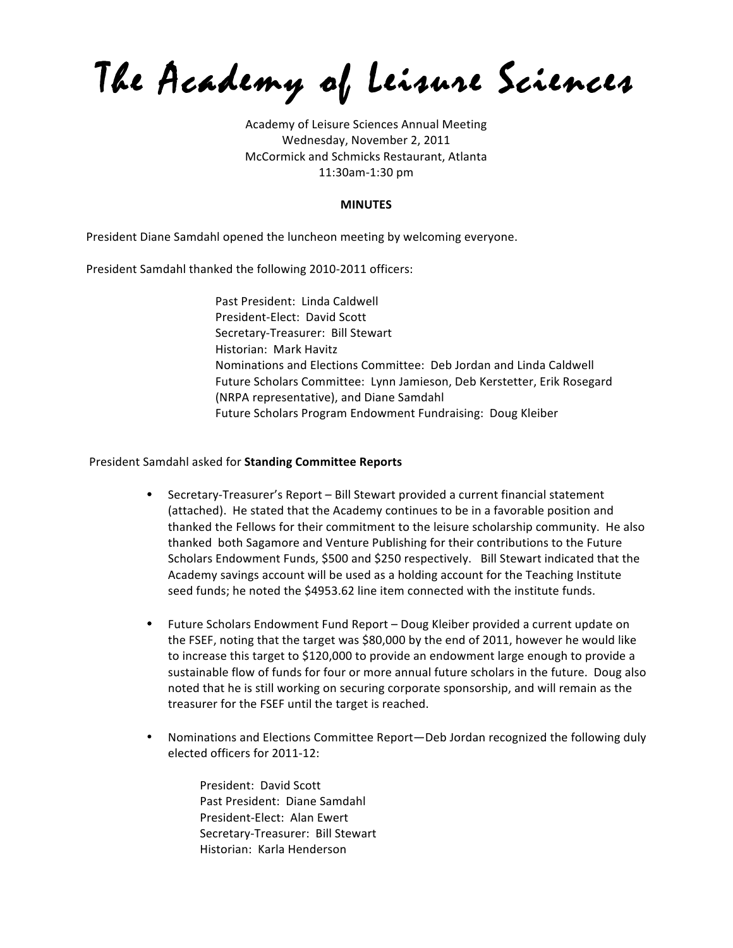The Academy of Leisure Sciences

Academy of Leisure Sciences Annual Meeting Wednesday, November 2, 2011 McCormick and Schmicks Restaurant, Atlanta 11:30am-1:30 pm

#### **MINUTES**

President Diane Samdahl opened the luncheon meeting by welcoming everyone.

President Samdahl thanked the following 2010-2011 officers:

Past President: Linda Caldwell President-Elect: David Scott Secretary-Treasurer: Bill Stewart Historian: Mark Havitz Nominations and Elections Committee: Deb Jordan and Linda Caldwell Future Scholars Committee: Lynn Jamieson, Deb Kerstetter, Erik Rosegard (NRPA representative), and Diane Samdahl Future Scholars Program Endowment Fundraising: Doug Kleiber

#### President Samdahl asked for **Standing Committee Reports**

- Secretary-Treasurer's Report Bill Stewart provided a current financial statement (attached). He stated that the Academy continues to be in a favorable position and thanked the Fellows for their commitment to the leisure scholarship community. He also thanked both Sagamore and Venture Publishing for their contributions to the Future Scholars Endowment Funds, \$500 and \$250 respectively. Bill Stewart indicated that the Academy savings account will be used as a holding account for the Teaching Institute seed funds; he noted the \$4953.62 line item connected with the institute funds.
- Future Scholars Endowment Fund Report Doug Kleiber provided a current update on the FSEF, noting that the target was \$80,000 by the end of 2011, however he would like to increase this target to \$120,000 to provide an endowment large enough to provide a sustainable flow of funds for four or more annual future scholars in the future. Doug also noted that he is still working on securing corporate sponsorship, and will remain as the treasurer for the FSEF until the target is reached.
- Nominations and Elections Committee Report—Deb Jordan recognized the following duly elected officers for 2011-12:

President: David Scott Past President: Diane Samdahl President-Elect: Alan Ewert Secretary-Treasurer: Bill Stewart Historian: Karla Henderson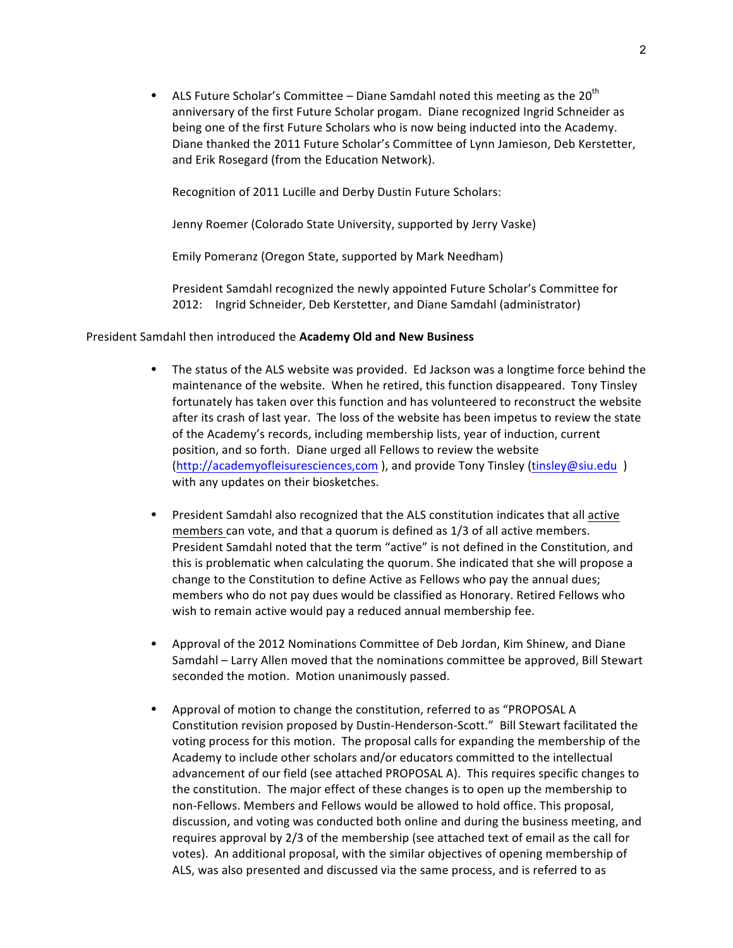• ALS Future Scholar's Committee – Diane Samdahl noted this meeting as the 20<sup>th</sup> anniversary of the first Future Scholar progam. Diane recognized Ingrid Schneider as being one of the first Future Scholars who is now being inducted into the Academy. Diane thanked the 2011 Future Scholar's Committee of Lynn Jamieson, Deb Kerstetter, and Erik Rosegard (from the Education Network).

Recognition of 2011 Lucille and Derby Dustin Future Scholars:

Jenny Roemer (Colorado State University, supported by Jerry Vaske)

Emily Pomeranz (Oregon State, supported by Mark Needham)

President Samdahl recognized the newly appointed Future Scholar's Committee for 2012: Ingrid Schneider, Deb Kerstetter, and Diane Samdahl (administrator)

#### President Samdahl then introduced the Academy Old and New Business

- The status of the ALS website was provided. Ed Jackson was a longtime force behind the maintenance of the website. When he retired, this function disappeared. Tony Tinsley fortunately has taken over this function and has volunteered to reconstruct the website after its crash of last year. The loss of the website has been impetus to review the state of the Academy's records, including membership lists, year of induction, current position, and so forth. Diane urged all Fellows to review the website (http://academyofleisuresciences,com ), and provide Tony Tinsley (tinsley@siu.edu ) with any updates on their biosketches.
- President Samdahl also recognized that the ALS constitution indicates that all active members can vote, and that a quorum is defined as  $1/3$  of all active members. President Samdahl noted that the term "active" is not defined in the Constitution, and this is problematic when calculating the quorum. She indicated that she will propose a change to the Constitution to define Active as Fellows who pay the annual dues; members who do not pay dues would be classified as Honorary. Retired Fellows who wish to remain active would pay a reduced annual membership fee.
- Approval of the 2012 Nominations Committee of Deb Jordan, Kim Shinew, and Diane Samdahl – Larry Allen moved that the nominations committee be approved, Bill Stewart seconded the motion. Motion unanimously passed.
- Approval of motion to change the constitution, referred to as "PROPOSAL A Constitution revision proposed by Dustin-Henderson-Scott." Bill Stewart facilitated the voting process for this motion. The proposal calls for expanding the membership of the Academy to include other scholars and/or educators committed to the intellectual advancement of our field (see attached PROPOSAL A). This requires specific changes to the constitution. The major effect of these changes is to open up the membership to non-Fellows. Members and Fellows would be allowed to hold office. This proposal, discussion, and voting was conducted both online and during the business meeting, and requires approval by 2/3 of the membership (see attached text of email as the call for votes). An additional proposal, with the similar objectives of opening membership of ALS, was also presented and discussed via the same process, and is referred to as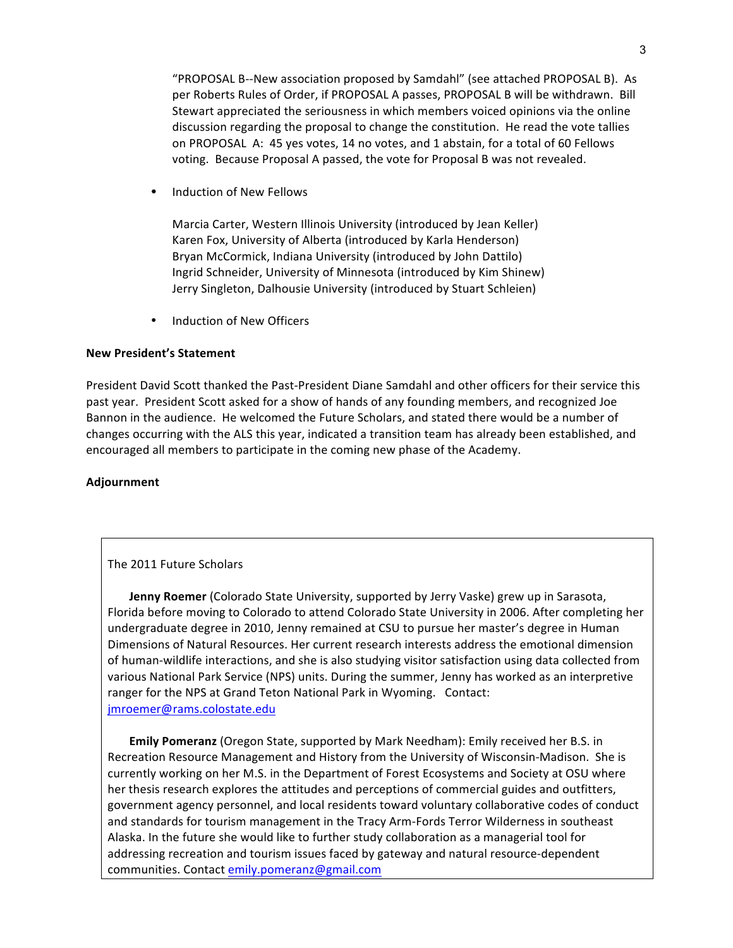"PROPOSAL B--New association proposed by Samdahl" (see attached PROPOSAL B). As per Roberts Rules of Order, if PROPOSAL A passes, PROPOSAL B will be withdrawn. Bill Stewart appreciated the seriousness in which members voiced opinions via the online discussion regarding the proposal to change the constitution. He read the vote tallies on PROPOSAL A: 45 yes votes, 14 no votes, and 1 abstain, for a total of 60 Fellows voting. Because Proposal A passed, the vote for Proposal B was not revealed.

Induction of New Fellows

Marcia Carter, Western Illinois University (introduced by Jean Keller) Karen Fox, University of Alberta (introduced by Karla Henderson) Bryan McCormick, Indiana University (introduced by John Dattilo) Ingrid Schneider, University of Minnesota (introduced by Kim Shinew) Jerry Singleton, Dalhousie University (introduced by Stuart Schleien)

Induction of New Officers

## **New President's Statement**

President David Scott thanked the Past-President Diane Samdahl and other officers for their service this past year. President Scott asked for a show of hands of any founding members, and recognized Joe Bannon in the audience. He welcomed the Future Scholars, and stated there would be a number of changes occurring with the ALS this year, indicated a transition team has already been established, and encouraged all members to participate in the coming new phase of the Academy.

## **Adjournment**

# The 2011 Future Scholars

**Jenny Roemer** (Colorado State University, supported by Jerry Vaske) grew up in Sarasota, Florida before moving to Colorado to attend Colorado State University in 2006. After completing her undergraduate degree in 2010, Jenny remained at CSU to pursue her master's degree in Human Dimensions of Natural Resources. Her current research interests address the emotional dimension of human-wildlife interactions, and she is also studying visitor satisfaction using data collected from various National Park Service (NPS) units. During the summer, Jenny has worked as an interpretive ranger for the NPS at Grand Teton National Park in Wyoming. Contact: jmroemer@rams.colostate.edu

**Emily Pomeranz** (Oregon State, supported by Mark Needham): Emily received her B.S. in Recreation Resource Management and History from the University of Wisconsin-Madison. She is currently working on her M.S. in the Department of Forest Ecosystems and Society at OSU where her thesis research explores the attitudes and perceptions of commercial guides and outfitters, government agency personnel, and local residents toward voluntary collaborative codes of conduct and standards for tourism management in the Tracy Arm-Fords Terror Wilderness in southeast Alaska. In the future she would like to further study collaboration as a managerial tool for addressing recreation and tourism issues faced by gateway and natural resource-dependent communities. Contact emily.pomeranz@gmail.com